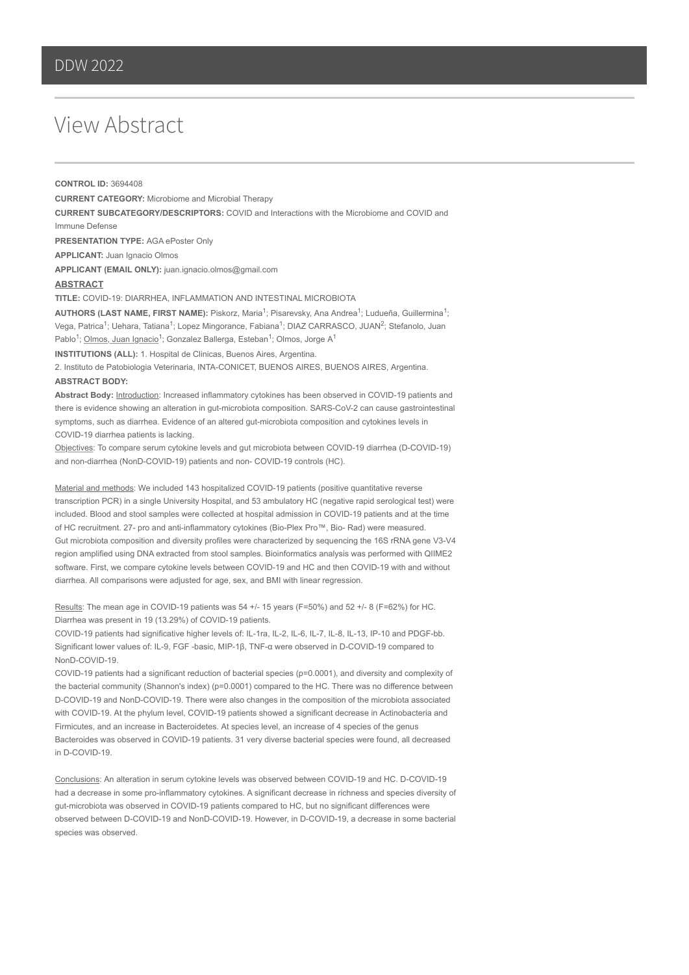## View Abstract

**CONTROL ID:** 3694408 **CURRENT CATEGORY:** Microbiome and Microbial Therapy **CURRENT SUBCATEGORY/DESCRIPTORS:** COVID and Interactions with the Microbiome and COVID and Immune Defense **PRESENTATION TYPE:** AGA ePoster Only **APPLICANT:** Juan Ignacio Olmos **APPLICANT (EMAIL ONLY):** juan.ignacio.olmos@gmail.com **ABSTRACT TITLE:** COVID-19: DIARRHEA, INFLAMMATION AND INTESTINAL MICROBIOTA AUTHORS (LAST NAME, FIRST NAME): Piskorz, Maria<sup>1</sup>; Pisarevsky, Ana Andrea<sup>1</sup>; Ludueña, Guillermina<sup>1</sup>; Vega, Patrica<sup>1</sup>; Uehara, Tatiana<sup>1</sup>; Lopez Mingorance, Fabiana<sup>1</sup>; DIAZ CARRASCO, JUAN<sup>2</sup>; Stefanolo, Juan Pablo<sup>1</sup>; Olmos, Juan Ignacio<sup>1</sup>; Gonzalez Ballerga, Esteban<sup>1</sup>; Olmos, Jorge A<sup>1</sup> **INSTITUTIONS (ALL):** 1. Hospital de Clinicas, Buenos Aires, Argentina.

2. Instituto de Patobiologia Veterinaria, INTA-CONICET, BUENOS AIRES, BUENOS AIRES, Argentina.

## **ABSTRACT BODY:**

**Abstract Body:** Introduction: Increased inflammatory cytokines has been observed in COVID-19 patients and there is evidence showing an alteration in gut-microbiota composition. SARS-CoV-2 can cause gastrointestinal symptoms, such as diarrhea. Evidence of an altered gut-microbiota composition and cytokines levels in COVID-19 diarrhea patients is lacking.

Objectives: To compare serum cytokine levels and gut microbiota between COVID-19 diarrhea (D-COVID-19) and non-diarrhea (NonD-COVID-19) patients and non- COVID-19 controls (HC).

Material and methods: We included 143 hospitalized COVID-19 patients (positive quantitative reverse transcription PCR) in a single University Hospital, and 53 ambulatory HC (negative rapid serological test) were included. Blood and stool samples were collected at hospital admission in COVID-19 patients and at the time of HC recruitment. 27- pro and anti-inflammatory cytokines (Bio-Plex Pro™, Bio- Rad) were measured. Gut microbiota composition and diversity profiles were characterized by sequencing the 16S rRNA gene V3-V4 region amplified using DNA extracted from stool samples. Bioinformatics analysis was performed with QIIME2 software. First, we compare cytokine levels between COVID-19 and HC and then COVID-19 with and without diarrhea. All comparisons were adjusted for age, sex, and BMI with linear regression.

Results: The mean age in COVID-19 patients was 54 +/- 15 years (F=50%) and 52 +/- 8 (F=62%) for HC. Diarrhea was present in 19 (13.29%) of COVID-19 patients.

COVID-19 patients had significative higher levels of: IL-1ra, IL-2, IL-6, IL-7, IL-8, IL-13, IP-10 and PDGF-bb. Significant lower values of: IL-9, FGF -basic, MIP-1β, TNF-α were observed in D-COVID-19 compared to NonD-COVID-19.

COVID-19 patients had a significant reduction of bacterial species (p=0.0001), and diversity and complexity of the bacterial community (Shannon's index) (p=0.0001) compared to the HC. There was no difference between D-COVID-19 and NonD-COVID-19. There were also changes in the composition of the microbiota associated with COVID-19. At the phylum level, COVID-19 patients showed a significant decrease in Actinobacteria and Firmicutes, and an increase in Bacteroidetes. At species level, an increase of 4 species of the genus Bacteroides was observed in COVID-19 patients. 31 very diverse bacterial species were found, all decreased in D-COVID-19.

Conclusions: An alteration in serum cytokine levels was observed between COVID-19 and HC. D-COVID-19 had a decrease in some pro-inflammatory cytokines. A significant decrease in richness and species diversity of gut-microbiota was observed in COVID-19 patients compared to HC, but no significant differences were observed between D-COVID-19 and NonD-COVID-19. However, in D-COVID-19, a decrease in some bacterial species was observed.